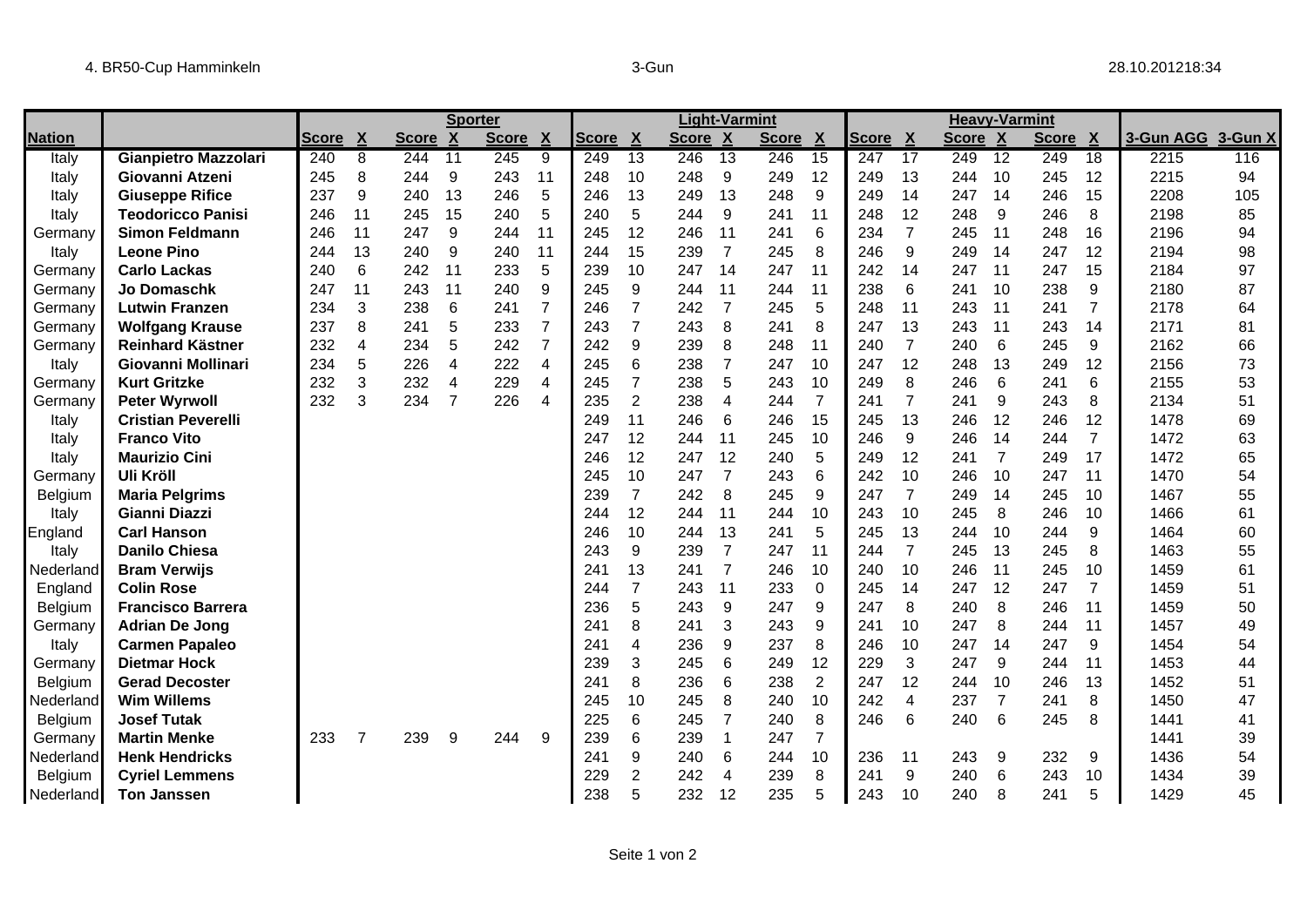|               |                             |              |                           | <b>Sporter</b> |                  |              |                | <b>Light-Varmint</b> |                  |         |                 | <b>Heavy-Varmint</b> |                |              |                 |         |                 |              |                |           |         |
|---------------|-----------------------------|--------------|---------------------------|----------------|------------------|--------------|----------------|----------------------|------------------|---------|-----------------|----------------------|----------------|--------------|-----------------|---------|-----------------|--------------|----------------|-----------|---------|
| <b>Nation</b> |                             | <b>Score</b> | $\boldsymbol{\mathsf{X}}$ | <b>Score</b>   | $\boldsymbol{X}$ | <b>Score</b> | $\mathbf{X}$   | <b>Score</b>         | $\boldsymbol{X}$ | Score X |                 | <b>Score</b>         | $\mathbf{X}$   | <b>Score</b> | X               | Score X |                 | <b>Score</b> | $\mathbf{X}$   | 3-Gun AGG | 3-Gun X |
| Italy         | <b>Gianpietro Mazzolari</b> | 240          | 8                         | 244            | $\overline{11}$  | 245          | 9              | 249                  | $\overline{13}$  | 246     | $\overline{13}$ | 246                  | 15             | 247          | $\overline{17}$ | 249     | $\overline{12}$ | 249          | 18             | 2215      | 116     |
| Italy         | Giovanni Atzeni             | 245          | 8                         | 244            | 9                | 243          | 11             | 248                  | 10               | 248     | 9               | 249                  | 12             | 249          | 13              | 244     | 10              | 245          | 12             | 2215      | 94      |
| Italy         | <b>Giuseppe Rifice</b>      | 237          | 9                         | 240            | 13               | 246          | 5              | 246                  | 13               | 249     | 13              | 248                  | 9              | 249          | 14              | 247     | 14              | 246          | 15             | 2208      | 105     |
| Italy         | <b>Teodoricco Panisi</b>    | 246          | 11                        | 245            | 15               | 240          | 5              | 240                  | 5                | 244     | 9               | 241                  | 11             | 248          | 12              | 248     | 9               | 246          | 8              | 2198      | 85      |
| Germany       | <b>Simon Feldmann</b>       | 246          | 11                        | 247            | 9                | 244          | 11             | 245                  | 12               | 246     | 11              | 241                  | 6              | 234          | 7               | 245     | 11              | 248          | 16             | 2196      | 94      |
| Italy         | <b>Leone Pino</b>           | 244          | 13                        | 240            | 9                | 240          | 11             | 244                  | 15               | 239     | $\overline{7}$  | 245                  | 8              | 246          | 9               | 249     | 14              | 247          | 12             | 2194      | 98      |
| Germany       | <b>Carlo Lackas</b>         | 240          | 6                         | 242            | 11               | 233          | 5              | 239                  | 10               | 247     | 14              | 247                  | 11             | 242          | 14              | 247     | 11              | 247          | 15             | 2184      | 97      |
| Germany       | <b>Jo Domaschk</b>          | 247          | 11                        | 243            | 11               | 240          | 9              | 245                  | 9                | 244     | 11              | 244                  | 11             | 238          | 6               | 241     | 10              | 238          | 9              | 2180      | 87      |
| Germany       | <b>Lutwin Franzen</b>       | 234          | 3                         | 238            | 6                | 241          | $\overline{7}$ | 246                  | 7                | 242     | 7               | 245                  | 5              | 248          | 11              | 243     | 11              | 241          | $\overline{7}$ | 2178      | 64      |
| Germany       | <b>Wolfgang Krause</b>      | 237          | 8                         | 241            | 5                | 233          | $\overline{7}$ | 243                  | $\overline{7}$   | 243     | 8               | 241                  | 8              | 247          | 13              | 243     | 11              | 243          | 14             | 2171      | 81      |
| Germany       | <b>Reinhard Kästner</b>     | 232          | $\overline{4}$            | 234            | 5                | 242          | $\overline{7}$ | 242                  | 9                | 239     | 8               | 248                  | 11             | 240          | $\overline{7}$  | 240     | 6               | 245          | 9              | 2162      | 66      |
| Italy         | Giovanni Mollinari          | 234          | 5                         | 226            | $\overline{4}$   | 222          | 4              | 245                  | 6                | 238     | $\overline{7}$  | 247                  | 10             | 247          | 12              | 248     | 13              | 249          | 12             | 2156      | 73      |
| Germany       | <b>Kurt Gritzke</b>         | 232          | 3                         | 232            | 4                | 229          | 4              | 245                  | 7                | 238     | 5               | 243                  | 10             | 249          | 8               | 246     | 6               | 241          | 6              | 2155      | 53      |
| Germany       | <b>Peter Wyrwoll</b>        | 232          | 3                         | 234            | 7                | 226          | $\overline{4}$ | 235                  | $\overline{2}$   | 238     | 4               | 244                  | $\overline{7}$ | 241          | 7               | 241     | 9               | 243          | 8              | 2134      | 51      |
| Italy         | <b>Cristian Peverelli</b>   |              |                           |                |                  |              |                | 249                  | 11               | 246     | 6               | 246                  | 15             | 245          | 13              | 246     | 12              | 246          | 12             | 1478      | 69      |
| Italy         | <b>Franco Vito</b>          |              |                           |                |                  |              |                | 247                  | 12               | 244     | 11              | 245                  | 10             | 246          | 9               | 246     | 14              | 244          | $\overline{7}$ | 1472      | 63      |
| Italy         | <b>Maurizio Cini</b>        |              |                           |                |                  |              |                | 246                  | 12               | 247     | 12              | 240                  | 5              | 249          | 12              | 241     | $\overline{7}$  | 249          | 17             | 1472      | 65      |
| Germany       | <b>Uli Kröll</b>            |              |                           |                |                  |              |                | 245                  | 10               | 247     | $\overline{7}$  | 243                  | 6              | 242          | 10              | 246     | 10              | 247          | 11             | 1470      | 54      |
| Belgium       | <b>Maria Pelgrims</b>       |              |                           |                |                  |              |                | 239                  | $\overline{7}$   | 242     | 8               | 245                  | 9              | 247          | $\overline{7}$  | 249     | 14              | 245          | 10             | 1467      | 55      |
| Italy         | Gianni Diazzi               |              |                           |                |                  |              |                | 244                  | 12               | 244     | 11              | 244                  | 10             | 243          | 10              | 245     | 8               | 246          | 10             | 1466      | 61      |
| England       | <b>Carl Hanson</b>          |              |                           |                |                  |              |                | 246                  | 10               | 244     | 13              | 241                  | 5              | 245          | 13              | 244     | 10              | 244          | 9              | 1464      | 60      |
| Italy         | <b>Danilo Chiesa</b>        |              |                           |                |                  |              |                | 243                  | 9                | 239     | $\overline{7}$  | 247                  | 11             | 244          | $\overline{7}$  | 245     | 13              | 245          | 8              | 1463      | 55      |
| Nederland     | <b>Bram Verwijs</b>         |              |                           |                |                  |              |                | 241                  | 13               | 241     | $\overline{7}$  | 246                  | 10             | 240          | 10              | 246     | 11              | 245          | 10             | 1459      | 61      |
| England       | <b>Colin Rose</b>           |              |                           |                |                  |              |                | 244                  | $\overline{7}$   | 243     | 11              | 233                  | $\Omega$       | 245          | 14              | 247     | 12              | 247          | 7              | 1459      | 51      |
| Belgium       | <b>Francisco Barrera</b>    |              |                           |                |                  |              |                | 236                  | 5                | 243     | 9               | 247                  | 9              | 247          | 8               | 240     | 8               | 246          | 11             | 1459      | 50      |
| Germany       | <b>Adrian De Jong</b>       |              |                           |                |                  |              |                | 241                  | 8                | 241     | 3               | 243                  | 9              | 241          | 10              | 247     | 8               | 244          | 11             | 1457      | 49      |
| Italy         | <b>Carmen Papaleo</b>       |              |                           |                |                  |              |                | 241                  | 4                | 236     | 9               | 237                  | 8              | 246          | 10              | 247     | 14              | 247          | 9              | 1454      | 54      |
| Germany       | <b>Dietmar Hock</b>         |              |                           |                |                  |              |                | 239                  | 3                | 245     | 6               | 249                  | 12             | 229          | 3               | 247     | 9               | 244          | 11             | 1453      | 44      |
| Belgium       | <b>Gerad Decoster</b>       |              |                           |                |                  |              |                | 241                  | 8                | 236     | 6               | 238                  | $\overline{2}$ | 247          | 12              | 244     | 10              | 246          | 13             | 1452      | 51      |
| Nederland     | <b>Wim Willems</b>          |              |                           |                |                  |              |                | 245                  | 10               | 245     | 8               | 240                  | 10             | 242          | 4               | 237     | 7               | 241          | 8              | 1450      | 47      |
| Belgium       | <b>Josef Tutak</b>          |              |                           |                |                  |              |                | 225                  | 6                | 245     | $\overline{7}$  | 240                  | 8              | 246          | 6               | 240     | 6               | 245          | 8              | 1441      | 41      |
| Germany       | <b>Martin Menke</b>         | 233          | 7                         | 239            | 9                | 244          | 9              | 239                  | 6                | 239     |                 | 247                  | $\overline{7}$ |              |                 |         |                 |              |                | 1441      | 39      |
| Nederland     | <b>Henk Hendricks</b>       |              |                           |                |                  |              |                | 241                  | 9                | 240     | 6               | 244                  | 10             | 236          | 11              | 243     | 9               | 232          | 9              | 1436      | 54      |
| Belgium       | <b>Cyriel Lemmens</b>       |              |                           |                |                  |              |                | 229                  | $\overline{2}$   | 242     | 4               | 239                  | 8              | 241          | 9               | 240     | 6               | 243          | 10             | 1434      | 39      |
| Nederland     | <b>Ton Janssen</b>          |              |                           |                |                  |              |                | 238                  | 5                | 232     | 12              | 235                  | 5              | 243          | 10              | 240     | 8               | 241          | 5              | 1429      | 45      |